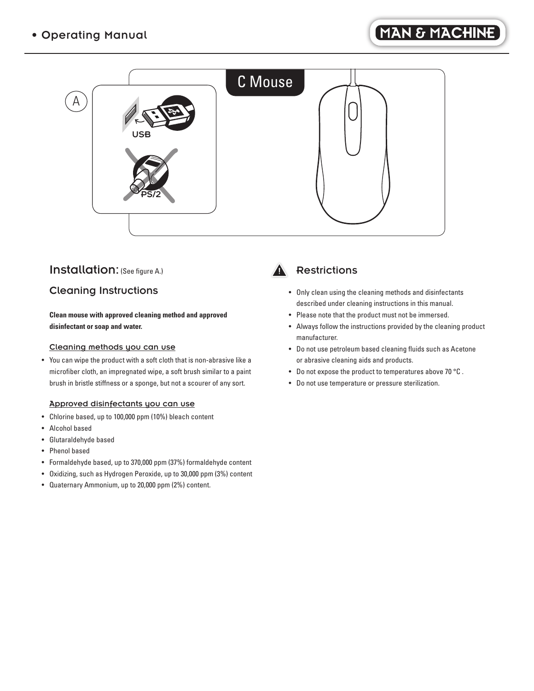



## Installation: (See figure A.)

### Cleaning Instructions

 **Clean mouse with approved cleaning method and approved disinfectant or soap and water.** 

### Cleaning methods you can use

• You can wipe the product with a soft cloth that is non-abrasive like a microfiber cloth, an impregnated wipe, a soft brush similar to a paint brush in bristle stiffness or a sponge, but not a scourer of any sort.

#### Approved disinfectants you can use

- Chlorine based, up to 100,000 ppm (10%) bleach content
- Alcohol based
- Glutaraldehyde based
- Phenol based
- Formaldehyde based, up to 370,000 ppm (37%) formaldehyde content
- Oxidizing, such as Hydrogen Peroxide, up to 30,000 ppm (3%) content
- Quaternary Ammonium, up to 20,000 ppm (2%) content.



### Restrictions

- Only clean using the cleaning methods and disinfectants described under cleaning instructions in this manual.
- Please note that the product must not be immersed.
- Always follow the instructions provided by the cleaning product manufacturer.
- Do not use petroleum based cleaning fluids such as Acetone or abrasive cleaning aids and products.
- Do not expose the product to temperatures above 70 °C .
- Do not use temperature or pressure sterilization.